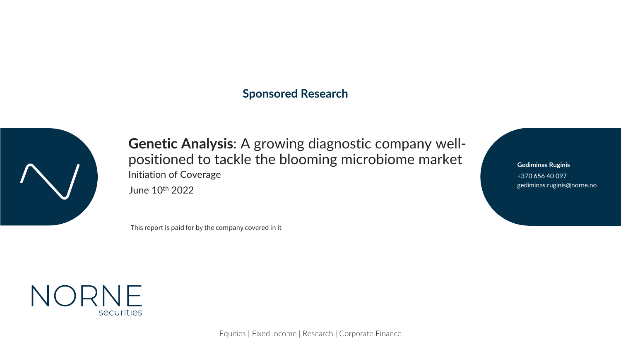### **Sponsored Research**



**Genetic Analysis**: A growing diagnostic company wellpositioned to tackle the blooming microbiome market June 10th 2022 gediminas.ruginis@norne.no Initiation of Coverage

This report is paid for by the company covered in it

+370 656 40 097 **Gediminas Ruginis**



Equities | Fixed Income | Research | Corporate Finance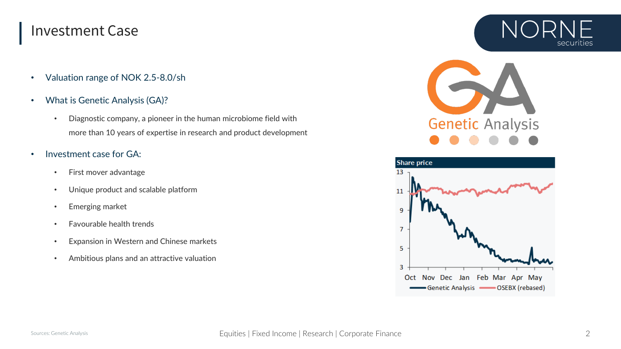### Investment Case

- Valuation range of NOK 2.5-8.0/sh
- What is Genetic Analysis (GA)?
	- Diagnostic company, a pioneer in the human microbiome field with more than 10 years of expertise in research and product development
- Investment case for GA:
	- First mover advantage
	- Unique product and scalable platform
	- Emerging market
	- Favourable health trends
	- Expansion in Western and Chinese markets
	- Ambitious plans and an attractive valuation





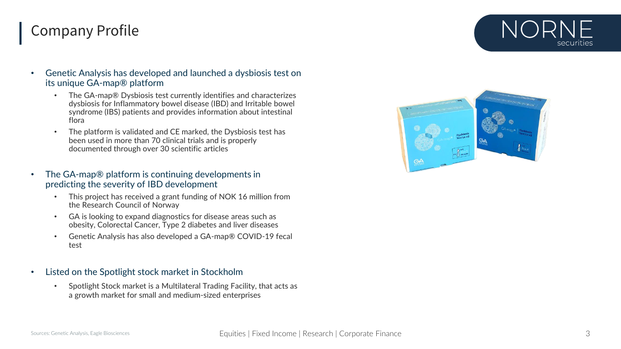# Company Profile



- The GA-map® Dysbiosis test currently identifies and characterizes dysbiosis for Inflammatory bowel disease (IBD) and Irritable bowel syndrome (IBS) patients and provides information about intestinal flora
- The platform is validated and CE marked, the Dysbiosis test has been used in more than 70 clinical trials and is properly documented through over 30 scientific articles
- The GA-map® platform is continuing developments in predicting the severity of IBD development
	- This project has received a grant funding of NOK 16 million from the Research Council of Norway
	- GA is looking to expand diagnostics for disease areas such as obesity, Colorectal Cancer, Type 2 diabetes and liver diseases
	- Genetic Analysis has also developed a GA-map® COVID-19 fecal test
- Listed on the Spotlight stock market in Stockholm
	- Spotlight Stock market is a Multilateral Trading Facility, that acts as a growth market for small and medium-sized enterprises

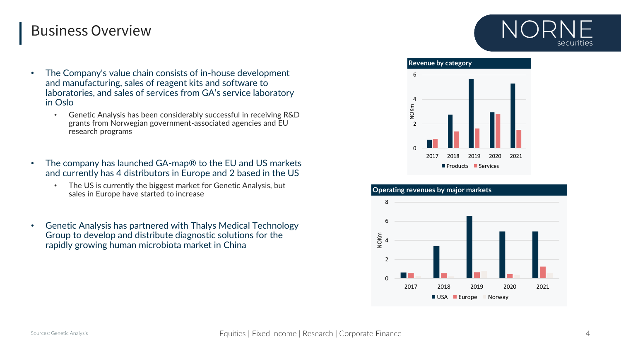### Business Overview

- The Company's value chain consists of in-house development and manufacturing, sales of reagent kits and software to laboratories, and sales of services from GA's service laboratory in Oslo
	- Genetic Analysis has been considerably successful in receiving R&D grants from Norwegian government-associated agencies and EU research programs
- The company has launched GA-map<sup>®</sup> to the EU and US markets and currently has 4 distributors in Europe and 2 based in the US
	- The US is currently the biggest market for Genetic Analysis, but sales in Europe have started to increase
- Genetic Analysis has partnered with Thalys Medical Technology Group to develop and distribute diagnostic solutions for the rapidly growing human microbiota market in China





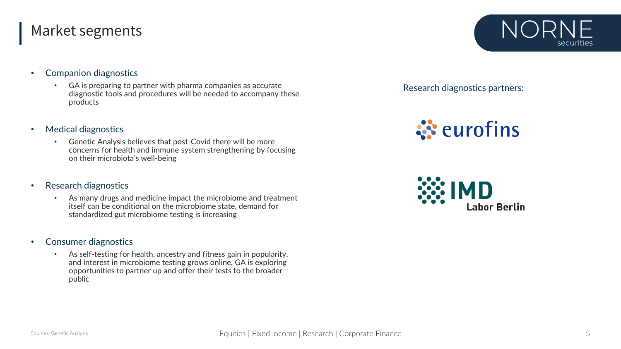### Market segments

- Companion diagnostics
	- GA is preparing to partner with pharma companies as accurate diagnostic tools and procedures will be needed to accompany these products
- Medical diagnostics
	- Genetic Analysis believes that post-Covid there will be more concerns for health and immune system strengthening by focusing on their microbiota's well-being
- Research diagnostics
	- As many drugs and medicine impact the microbiome and treatment itself can be conditional on the microbiome state, demand for standardized gut microbiome testing is increasing
- Consumer diagnostics
	- As self-testing for health, ancestry and fitness gain in popularity, and interest in microbiome testing grows online, GA is exploring opportunities to partner up and offer their tests to the broader public



Research diagnostics partners:

**ं** eurofins

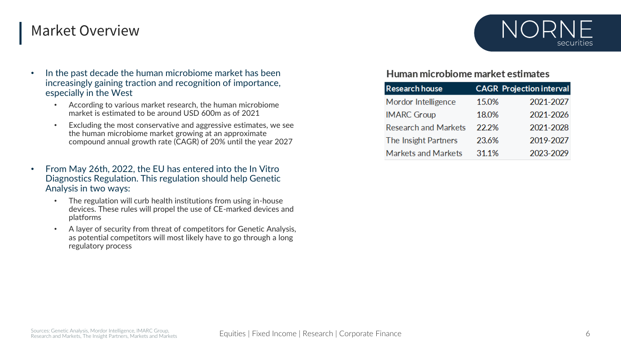### Market Overview

- In the past decade the human microbiome market has been increasingly gaining traction and recognition of importance, especially in the West
	- According to various market research, the human microbiome market is estimated to be around USD 600m as of 2021
	- Excluding the most conservative and aggressive estimates, we see the human microbiome market growing at an approximate compound annual growth rate (CAGR) of 20% until the year 2027
- From May 26th, 2022, the EU has entered into the In Vitro Diagnostics Regulation. This regulation should help Genetic Analysis in two ways:
	- The regulation will curb health institutions from using in-house devices. These rules will propel the use of CE-marked devices and platforms
	- A layer of security from threat of competitors for Genetic Analysis, as potential competitors will most likely have to go through a long regulatory process



### Human microbiome market estimates

| <b>Research house</b>       |       | <b>CAGR</b> Projection interval |
|-----------------------------|-------|---------------------------------|
| Mordor Intelligence         | 15.0% | 2021-2027                       |
| <b>IMARC Group</b>          | 18.0% | 2021-2026                       |
| <b>Research and Markets</b> | 22.2% | 2021-2028                       |
| The Insight Partners        | 23.6% | 2019-2027                       |
| <b>Markets and Markets</b>  | 31.1% | 2023-2029                       |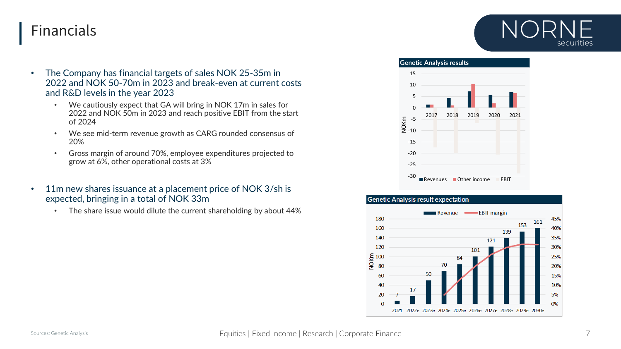# Financials



- The Company has financial targets of sales NOK 25-35m in 2022 and NOK 50-70m in 2023 and break-even at current costs and R&D levels in the year 2023
	- We cautiously expect that GA will bring in NOK 17m in sales for 2022 and NOK 50m in 2023 and reach positive EBIT from the start of 2024
	- We see mid-term revenue growth as CARG rounded consensus of 20%
	- Gross margin of around 70%, employee expenditures projected to grow at 6%, other operational costs at 3%
- 11m new shares issuance at a placement price of NOK 3/sh is expected, bringing in a total of NOK 33m
	- The share issue would dilute the current shareholding by about 44%



### **Genetic Analysis result expectation**

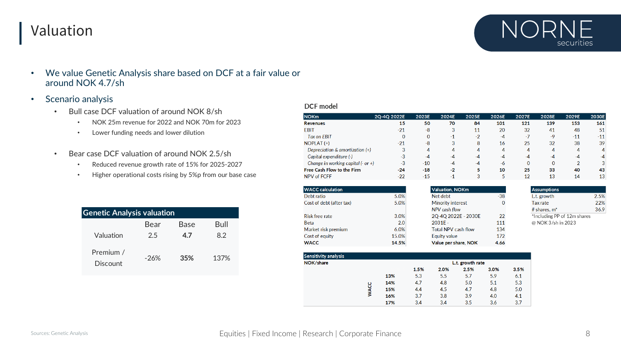# Valuation



- Scenario analysis
	- Bull case DCF valuation of around NOK 8/sh
		- NOK 25m revenue for 2022 and NOK 70m for 2023
		- Lower funding needs and lower dilution
	- Bear case DCF valuation of around NOK 2.5/sh
		- Reduced revenue growth rate of 15% for 2025-2027
		- Higher operational costs rising by 5%p from our base case

| <b>Genetic Analysis valuation</b> |        |      |      |  |  |  |  |
|-----------------------------------|--------|------|------|--|--|--|--|
|                                   | Bear   | Base | Bull |  |  |  |  |
| Valuation                         | 2.5    | 4.7  | 8.2  |  |  |  |  |
| Premium /<br><b>Discount</b>      | $-26%$ | 35%  | 137% |  |  |  |  |

### DCF model

| <b>NOKm</b>                            | 2Q-4Q 2022E | 2023E        | 2024E | 2025E | 2026E | 2027E    | 2028E    | 2029E | 2030E |
|----------------------------------------|-------------|--------------|-------|-------|-------|----------|----------|-------|-------|
| <b>Revenues</b>                        | 15          | 50           | 70    | 84    | 101   | 121      | 139      | 153   | 161   |
| <b>EBIT</b>                            | $-21$       | -8           | 3     | 11    | 20    | 32       | 41       | 48    | 51    |
| Tax on EBIT                            | $\bf{0}$    | $\mathbf{0}$ | -1    | -2    | $-4$  | $-7$     | $-9$     | $-11$ | $-11$ |
| $NOPLAT$ $(+)$                         | $-21$       | -8           | 3     | 8     | 16    | 25       | 32       | 38    | 39    |
| Depreciation & amortization $(+)$      | 3           | 4            | 4     | 4     | 4     | 4        | 4        | 4     | 4     |
| Capital expenditure (-)                | $-3$        | $-4$         | $-4$  | $-4$  | $-4$  | $-4$     | $-4$     | $-4$  | $-4$  |
| Change in working capital $(-$ or $+)$ | $-3$        | $-10$        | $-4$  | $-4$  | -6    | $\Omega$ | $\Omega$ | 2     | 3     |
| Free Cash Flow to the Firm             | $-24$       | $-18$        | $-2$  | 5     | 10    | 25       | 33       | 40    | 43    |
| NPV of FCFF                            | $-22$       | $-15$        | -1    | 3     |       | 12       | 13       | 14    | 13    |

| <b>WACC calculation</b>  |       | Valuation, NOKm            |       | <b>Assumptions</b>         |  |  |
|--------------------------|-------|----------------------------|-------|----------------------------|--|--|
| Debt ratio               | 5.0%  | Net debt                   | $-38$ | L.t. growth                |  |  |
| Cost of debt (after tax) | 5.0%  | Minority interest          | 0     | Tax rate                   |  |  |
|                          |       | NPV cash flow              |       | # shares, $m^*$            |  |  |
| Risk free rate           | 3.0%  | 2Q-4Q 2022E - 2030E        | 22    | *Including PP of 12m share |  |  |
| <b>Beta</b>              | 2.0   | $2031F -$                  | 111   | @ NOK 3/sh in 2023         |  |  |
| Market risk premium      | 6.0%  | <b>Total NPV cash flow</b> | 134   |                            |  |  |
| Cost of equity           | 15.0% | Equity value               | 172   |                            |  |  |
| <b>WACC</b>              | 14.5% | Value per share, NOK       | 4.66  |                            |  |  |

| <b>Sensitivity analysis</b> |             |     |                  |      |      |      |      |  |
|-----------------------------|-------------|-----|------------------|------|------|------|------|--|
| NOK/share                   |             |     | L.t. growth rate |      |      |      |      |  |
|                             |             |     | 1.5%             | 2.0% | 2.5% | 3.0% | 3.5% |  |
|                             |             | 13% | 5.3              | 5.5  | 5.7  | 5.9  | 6.1  |  |
|                             |             | 14% | 4.7              | 4.8  | 5.0  | 5.1  | 5.3  |  |
|                             | <b>NACC</b> | 15% | 4.4              | 4.5  | 4.7  | 4.8  | 5.0  |  |
|                             |             | 16% | 3.7              | 3.8  | 3.9  | 4.0  | 4.1  |  |
|                             |             | 17% | 3.4              | 3.4  | 3.5  | 3.6  | 3.7  |  |

2.5% 22% 36.9

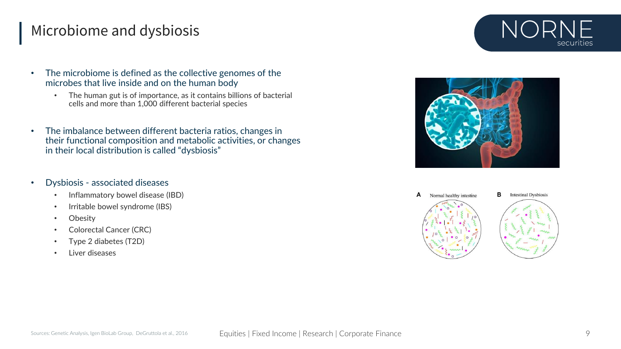# Microbiome and dysbiosis



- The microbiome is defined as the collective genomes of the microbes that live inside and on the human body
	- The human gut is of importance, as it contains billions of bacterial cells and more than 1,000 different bacterial species
- The imbalance between different bacteria ratios, changes in their functional composition and metabolic activities, or changes in their local distribution is called "dysbiosis"
- Dysbiosis associated diseases
	- Inflammatory bowel disease (IBD)
	- Irritable bowel syndrome (IBS)
	- Obesity
	- Colorectal Cancer (CRC)
	- Type 2 diabetes (T2D)
	- Liver diseases





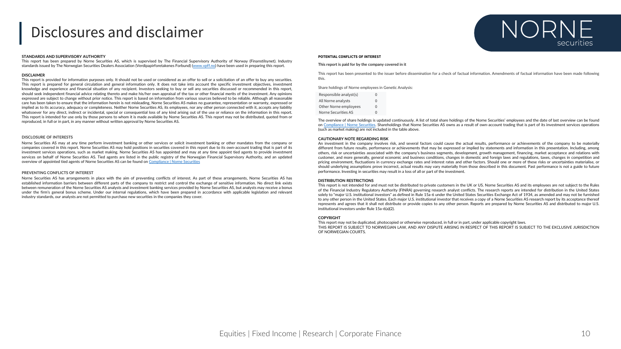### Disclosures and disclaimer

#### **STANDARDS AND SUPERVISORY AUTHORITY**

This report has been prepared by Norne Securities AS, which is supervised by The Financial Supervisory Authority of Norway (Finanstilsynet). Industry standards issued by The Norwegian Securities Dealers Association (Verdipapirforetakenes Forbund) [\(www.vpff.no\)](http://www.vpff.no/) have been used in preparing this report.

#### **DISCLAIMER**

This report is provided for information purposes only. It should not be used or considered as an offer to sell or a solicitation of an offer to buy any securities. This report is prepared for general circulation and general information only. It does not take into account the specific investment objectives, investment knowledge and experience and financial situation of any recipient. Investors seeking to buy or sell any securities discussed or recommended in this report, should seek independent financial advice relating thereto and make his/her own appraisal of the tax or other financial merits of the investment. Any opinions expressed are subject to change without prior notice. This report is based on information from various sources believed to be reliable. Although all reasonable care has been taken to ensure that the information herein is not misleading, Norne Securities AS makes no guarantee, representation or warranty, expressed or implied as to its accuracy, adequacy or completeness. Neither Norne Securities AS, its employees, nor any other person connected with it, accepts any liability whatsoever for any direct, indirect or incidental, special or consequential loss of any kind arising out of the use or reliance on the information in this report. This report is intended for use only by those persons to whom it is made available by Norne Securities AS. This report may not be distributed, quoted from or reproduced, in full or in part, in any manner without written approval by Norne Securities AS.

#### **DISCLOSURE OF INTERESTS**

Norne Securities AS may at any time perform investment banking or other services or solicit investment banking or other mandates from the company or companies covered in this report. Norne Securities AS may hold positions in securities covered in this report due to its own-account trading that is part of its investment services operations, such as market making. Norne Securities AS has appointed and may at any time appoint tied agents to provide investment services on behalf of Norne Securities AS. Tied agents are listed in the public registry of the Norwegian Financial Supervisory Authority, and an updated overview of appointed tied agents of Norne Securities AS can be found on [Compliance](https://norne.no/compliance/) | Norne Securities

#### **PREVENTING CONFLICTS OF INTEREST**

Norne Securities AS has arrangements in place with the aim of preventing conflicts of interest. As part of these arrangements, Norne Securities AS has established information barriers between different parts of the company to restrict and control the exchange of sensitive information. No direct link exists between remuneration of the Norne Securities AS analysts and investment banking services provided by Norne Securities AS, but analysts may receive a bonus under the firm's general bonus scheme. Under our internal regulations, which have been prepared in accordance with applicable legislation and relevant industry standards, our analysts are not permitted to purchase new securities in the companies they cover.



#### **POTENTIAL CONFLICTS OF INTEREST**

#### **This report is paid for by the company covered in it**

This report has been presented to the issuer before dissemination for a check of factual information. Amendments of factual information have been made following this.

Share holdings of Norne employees in Genetic Analysis:

| Responsible analyst(s) | O        |
|------------------------|----------|
| All Norne analysts     | $\Omega$ |
| Other Norne employees  | 0        |
| Norne Securities AS    | U        |

The overview of share holdings is updated continuously. A list of total share holdings of the Norne Securities' employees and the date of last overview can be found on [Compliance](https://norne.no/compliance/) | Norne Securities. Shareholdings that Norne Securities AS owns as a result of own-account trading that is part of its investment services operations (such as market making) are not included in the table above.

#### **CAUTIONARY NOTE REGARDING RISK**

An investment in the company involves risk, and several factors could cause the actual results, performance or achievements of the company to be materially different from future results, performance or achievements that may be expressed or implied by statements and information in this presentation. Including, among others, risk or uncertainties associated with the company's business segments, development, growth management, financing, market acceptance and relations with customer, and more generally, general economic and business conditions, changes in domestic and foreign laws and regulations, taxes, changes in competition and pricing environment, fluctuations in currency exchange rates and interest rates and other factors. Should one or more of these risks or uncertainties materialise, or should underlying assumptions prove incorrect, actual results may vary materially from those described in this document. Past performance is not a guide to future performance. Investing in securities may result in a loss of all or part of the investment.

#### **DISTRIBUTION RESTRICTIONS**

This report is not intended for and must not be distributed to private customers in the UK or US. Norne Securities AS and its employees are not subject to the Rules of the Financial Industry Regulatory Authority (FINRA) governing research analyst conflicts. The research reports are intended for distribution in the United States solely to "major U.S. institutional investors" as defined in Rule 15a-6 under the United States Securities Exchange Act of 1934, as amended and may not be furnished to any other person in the United States. Each major U.S. institutional investor that receives a copy of a Norne Securities AS research report by its acceptance thereof represents and agrees that it shall not distribute or provide copies to any other person. Reports are prepared by Norne Securities AS and distributed to major U.S. institutional investors under Rule 15a-6(a)(2).

#### **COPYRIGHT**

This report may not be duplicated, photocopied or otherwise reproduced, in full or in part, under applicable copyright laws. THIS REPORT IS SUBJECT TO NORWEGIAN LAW, AND ANY DISPUTE ARISING IN RESPECT OF THIS REPORT IS SUBJECT TO THE EXCLUSIVE JURISDICTION OF NORWEGIAN COURTS.